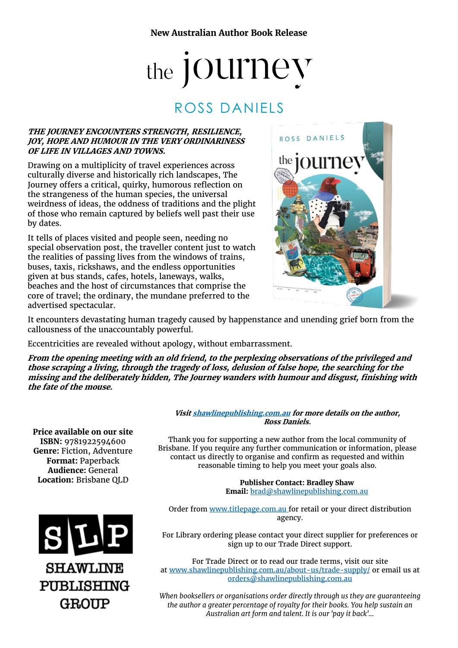# the JOUI'ITeV

## ROSS DANIELS

#### **THE JOURNEY ENCOUNTERS STRENGTH, RESILIENCE, JOY, HOPE AND HUMOUR IN THE VERY ORDINARINESS OF LIFE IN VILLAGES AND TOWNS.**

Drawing on a multiplicity of travel experiences across culturally diverse and historically rich landscapes, The Journey offers a critical, quirky, humorous reflection on the strangeness of the human species, the universal weirdness of ideas, the oddness of traditions and the plight of those who remain captured by beliefs well past their use by dates.

It tells of places visited and people seen, needing no special observation post, the traveller content just to watch the realities of passing lives from the windows of trains, buses, taxis, rickshaws, and the endless opportunities given at bus stands, cafes, hotels, laneways, walks, beaches and the host of circumstances that comprise the core of travel; the ordinary, the mundane preferred to the advertised spectacular.



It encounters devastating human tragedy caused by happenstance and unending grief born from the callousness of the unaccountably powerful.

Eccentricities are revealed without apology, without embarrassment.

**From the opening meeting with an old friend, to the perplexing observations of the privileged and those scraping a living, through the tragedy of loss, delusion of false hope, the searching for the missing and the deliberately hidden, The Journey wanders with humour and disgust, finishing with the fate of the mouse.**

**Price available on our site ISBN:** 9781922594600 **Genre:** Fiction, Adventure **Format:** Paperback **Audience:** General **Location:** Brisbane QLD



**Visi[t shawlinepublishing.com.au](https://www.shawlinepublishing.com.au/our-titles/fiction/display/158-the-journey) for more details on the author, Ross Daniels.**

Thank you for supporting a new author from the local community of Brisbane. If you require any further communication or information, please contact us directly to organise and confirm as requested and within reasonable timing to help you meet your goals also.

> **Publisher Contact: Bradley Shaw Email:** [brad@shawlinepublishing.com.au](mailto:brad@shawlinepublishing.com.au)

Order from [www.titlepage.com.au](http://www.titlepage.com.au/) for retail or your direct distribution agency.

For Library ordering please contact your direct supplier for preferences or sign up to our Trade Direct support.

For Trade Direct or to read our trade terms, visit our site at [www.shawlinepublishing.com.au/about-us/trade-supply/](http://www.shawlinepublishing.com.au/about-us/trade-supply/) or email us at [orders@shawlinepublishing.com.au](mailto:orders@shawlinepublishing.com.au)

*When booksellers or organisations order directly through us they are guaranteeing the author a greater percentage of royalty for their books. You help sustain an Australian art form and talent. It is our 'pay it back'...*